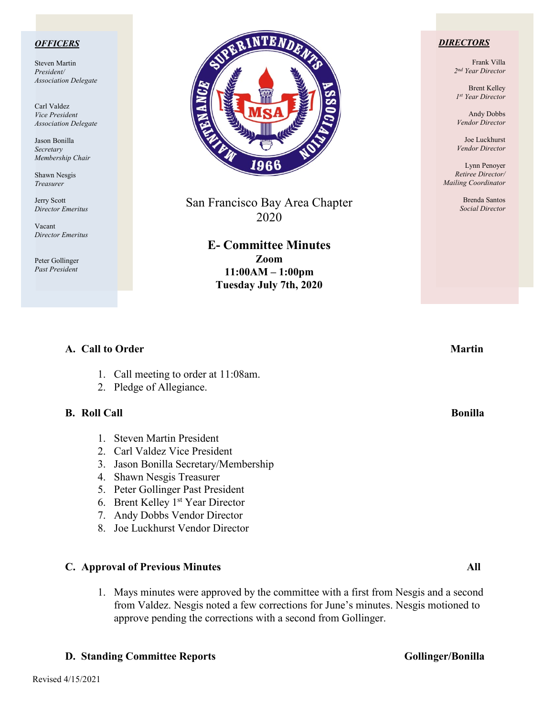### *OFFICERS*

Steven Martin *President/ Association Delegate*

Carl Valdez *Vice President Association Delegate*

Jason Bonilla *Secretary Membership Chair*

Shawn Nesgis *Treasurer*

Jerry Scott *Director Emeritus*

Vacant *Director Emeritus*

Peter Gollinger *Past President*



San Francisco Bay Area Chapter 2020

> **E- Committee Minutes Zoom 11:00AM – 1:00pm Tuesday July 7th, 2020**

### *DIRECTORS*

Frank Villa *2nd Year Director*

Brent Kelley *1st Year Director*

Andy Dobbs *Vendor Director*

Joe Luckhurst *Vendor Director*

Lynn Penoyer *Retiree Director/ Mailing Coordinator*

> Brenda Santos *Social Director*

# **A.** Call to Order Martin **Martin**

- 1. Call meeting to order at 11:08am.
- 2. Pledge of Allegiance.

### **B.** Roll Call Bonilla **Bonical** Bonilla **Bonical Bonilla**

- 1. Steven Martin President
- 2. Carl Valdez Vice President
- 3. Jason Bonilla Secretary/Membership
- 4. Shawn Nesgis Treasurer
- 5. Peter Gollinger Past President
- 6. Brent Kelley 1st Year Director
- 7. Andy Dobbs Vendor Director
- 8. Joe Luckhurst Vendor Director

### **C. Approval of Previous Minutes All**

1. Mays minutes were approved by the committee with a first from Nesgis and a second from Valdez. Nesgis noted a few corrections for June's minutes. Nesgis motioned to approve pending the corrections with a second from Gollinger.

### **D. Standing Committee Reports Gollinger/Bonilla**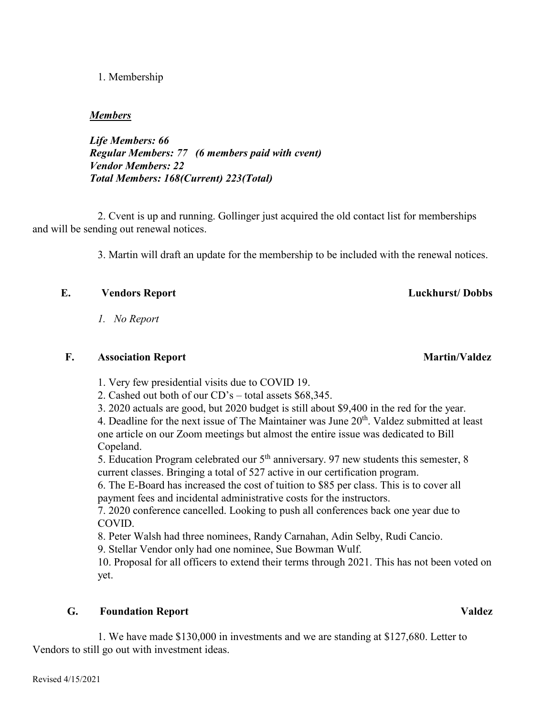### 1. Membership

### *Members*

*Life Members: 66 Regular Members: 77 (6 members paid with cvent) Vendor Members: 22 Total Members: 168(Current) 223(Total)*

2. Cvent is up and running. Gollinger just acquired the old contact list for memberships and will be sending out renewal notices.

3. Martin will draft an update for the membership to be included with the renewal notices.

# **E. Vendors Report Luckhurst/ Dobbs**

*1. No Report*

# **F.** Association Report Martin/Valdez

1. Very few presidential visits due to COVID 19.

2. Cashed out both of our CD's – total assets \$68,345.

3. 2020 actuals are good, but 2020 budget is still about \$9,400 in the red for the year.

4. Deadline for the next issue of The Maintainer was June 20<sup>th</sup>. Valdez submitted at least one article on our Zoom meetings but almost the entire issue was dedicated to Bill Copeland.

5. Education Program celebrated our 5<sup>th</sup> anniversary. 97 new students this semester, 8 current classes. Bringing a total of 527 active in our certification program.

6. The E-Board has increased the cost of tuition to \$85 per class. This is to cover all payment fees and incidental administrative costs for the instructors.

7. 2020 conference cancelled. Looking to push all conferences back one year due to COVID.

8. Peter Walsh had three nominees, Randy Carnahan, Adin Selby, Rudi Cancio.

9. Stellar Vendor only had one nominee, Sue Bowman Wulf.

10. Proposal for all officers to extend their terms through 2021. This has not been voted on yet.

# **G. Foundation Report Valdez**

1. We have made \$130,000 in investments and we are standing at \$127,680. Letter to Vendors to still go out with investment ideas.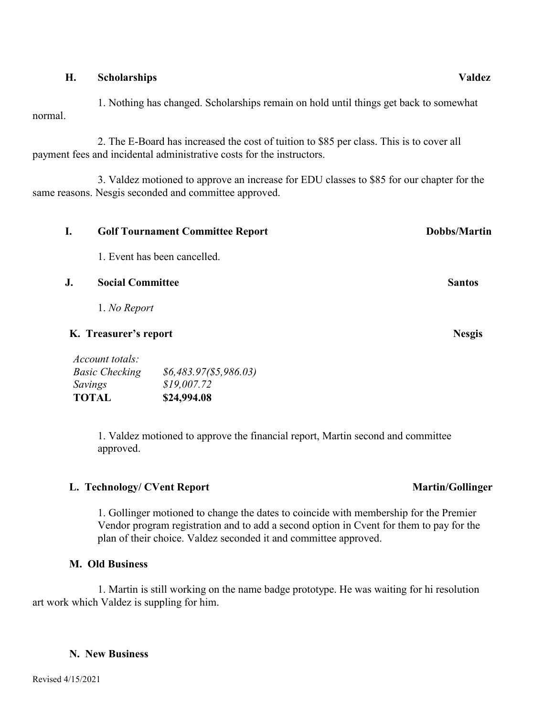### **H. Scholarships Valdez**

 1. Nothing has changed. Scholarships remain on hold until things get back to somewhat normal.

 2. The E-Board has increased the cost of tuition to \$85 per class. This is to cover all payment fees and incidental administrative costs for the instructors.

 3. Valdez motioned to approve an increase for EDU classes to \$85 for our chapter for the same reasons. Nesgis seconded and committee approved.

| I.                    | <b>Golf Tournament Committee Report</b> |                              | <b>Dobbs/Martin</b> |
|-----------------------|-----------------------------------------|------------------------------|---------------------|
|                       |                                         | 1. Event has been cancelled. |                     |
| J.                    | <b>Social Committee</b>                 |                              | <b>Santos</b>       |
|                       | 1. No Report                            |                              |                     |
| K. Treasurer's report |                                         |                              | <b>Nesgis</b>       |
|                       | Account totals:                         |                              |                     |
| <b>Basic Checking</b> |                                         | \$6,483.97 (\$5,986.03)      |                     |
| Savings               |                                         | \$19,007.72                  |                     |
| <b>TOTAL</b>          |                                         | \$24,994.08                  |                     |

1. Valdez motioned to approve the financial report, Martin second and committee approved.

# L. Technology/ CVent Report **Martin/Gollinger** Martin/Gollinger

1. Gollinger motioned to change the dates to coincide with membership for the Premier Vendor program registration and to add a second option in Cvent for them to pay for the plan of their choice. Valdez seconded it and committee approved.

# **M. Old Business**

1. Martin is still working on the name badge prototype. He was waiting for hi resolution art work which Valdez is suppling for him.

### **N. New Business**